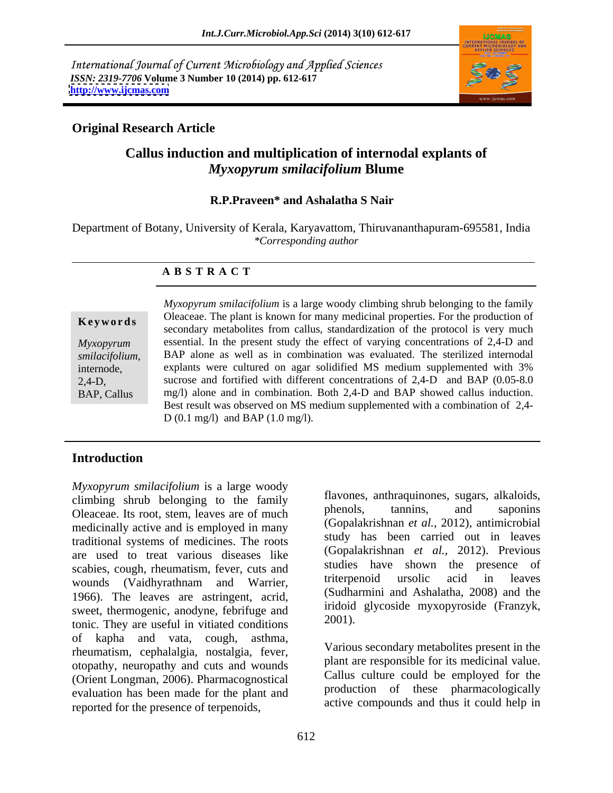International Journal of Current Microbiology and Applied Sciences *ISSN: 2319-7706* **Volume 3 Number 10 (2014) pp. 612-617 <http://www.ijcmas.com>**



## **Original Research Article**

# **Callus induction and multiplication of internodal explants of**  *Myxopyrum smilacifolium* **Blume**

### **R.P.Praveen\* and Ashalatha S Nair**

Department of Botany, University of Kerala, Karyavattom, Thiruvananthapuram-695581, India *\*Corresponding author* 

### **A B S T R A C T**

**Keywords** Dieaceae. The plant is known for many medicinal properties. For the production of secondary metabolites from callus, standardization of the protocol is very much *Myxopyrum*  essential. In the present study the effect of varying concentrations of 2,4-D and *smilacifolium*, BAP alone as well as in combination was evaluated. The sterilized internodal<br>internode, explants were cultured on agar solidified MS medium supplemented with 3% 2,4-D, sucrose and fortified with different concentrations of 2,4-D and BAP (0.05-8.0 BAP, Callus mg/l) alone and in combination. Both 2,4-D and BAP showed callus induction. *Myxopyrum smilacifolium* is a large woody climbing shrub belonging to the family Oleaceae. The plant is known for many medicinal properties. For the production of BAP alone as well as in combination was evaluated. The sterilized internodal Best result was observed on MS medium supplemented with a combination of 2,4- D (0.1 mg/l) and BAP (1.0 mg/l).

## **Introduction**

*Myxopyrum smilacifolium* is a large woody climbing shrub belonging to the family<br>
Cleacene Its root stem leaves are of much phenols, tannins, and saponins Oleaceae. Its root, stem, leaves are of much medicinally active and is employed in many traditional systems of medicines. The roots are used to treat various diseases like scabies, cough, rheumatism, fever, cuts and<br>we show the presence of<br>triterpenoid ursolic acid in leaves wounds (Vaidhyrathnam and Warrier, 1966). The leaves are astringent, acrid, sweet, thermogenic, anodyne, febrifuge and<br>tonic They are useful in vitieted conditions 2001). tonic. They are useful in vitiated conditions of kapha and vata, cough, asthma, rheumatism, cephalalgia, nostalgia, fever, otopathy, neuropathy and cuts and wounds (Orient Longman, 2006). Pharmacognostical evaluation has been made for the plant and reported for the presence of terpenoids,

flavones, anthraquinones, sugars, alkaloids, phenols, tannins, and saponins (Gopalakrishnan *et al.,* 2012), antimicrobial study has been carried out in leaves (Gopalakrishnan *et al.,* 2012). Previous studies have shown the presence of triterpenoid ursolic acid in leaves (Sudharmini and Ashalatha, 2008) and the iridoid glycoside myxopyroside (Franzyk, 2001).

Various secondary metabolites present in the plant are responsible for its medicinal value. Callus culture could be employed for the production of these pharmacologically active compounds and thus it could help in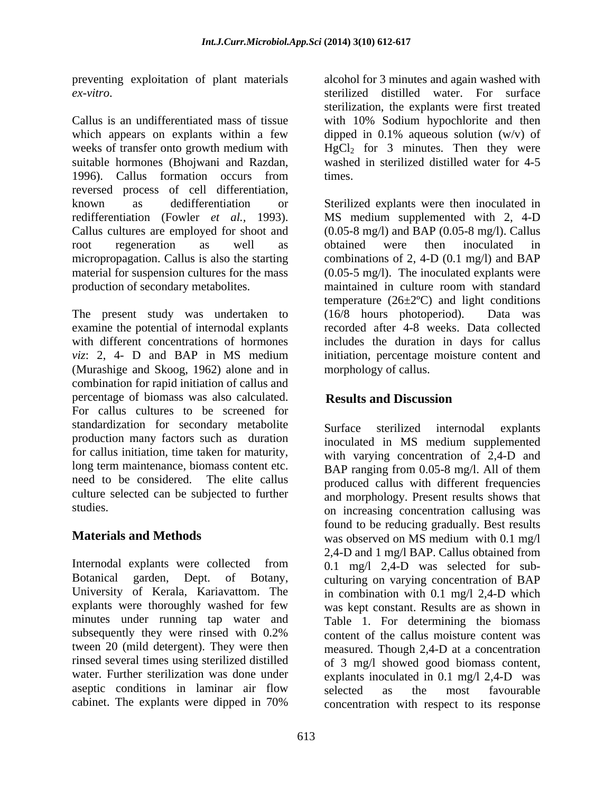preventing exploitation of plant materials

which appears on explants within a few weeks of transfer onto growth medium with  $HgCl_2$  for 3 minutes. Then they were suitable hormones (Bhojwani and Razdan, 1996). Callus formation occurs from reversed process of cell differentiation, known as dedifferentiation or Sterilized explants were then inoculated in redifferentiation (Fowler *et al.,* 1993). MS medium supplemented with 2, 4-D Callus cultures are employed for shoot and (0.05-8 mg/l) and BAP (0.05-8 mg/l). Callus root regeneration as well as obtained were then inoculated in micropropagation. Callus is also the starting material for suspension cultures for the mass (0.05-5 mg/l). The inoculated explants were production of secondary metabolites. maintained in culture room with standard

The present study was undertaken to (16/8 hours photoperiod). Data was (Murashige and Skoog, 1962) alone and in combination for rapid initiation of callus and percentage of biomass was also calculated. **Results and Discussion** For callus cultures to be screened for standardization for secondary metabolite Surface sterilized internodal explants production many factors such as duration for callus initiation, time taken for maturity, long term maintenance, biomass content etc.<br>BAP ranging from 0.05-8 mg/l. All of them need to be considered. The elite callus culture selected can be subjected to further and morphology. Present results shows that

Internodal explants were collected from 0.1 mg/l 2,4-D was selected for sub- Botanical garden, Dept. of Botany, culturing on varying concentration of BAP University of Kerala, Kariavattom. The in combination with 0.1 mg/l 2,4-D which explants were thoroughly washed for few was kept constant. Results are as shown in minutes under running tap water and subsequently they were rinsed with 0.2% tween 20 (mild detergent). They were then rinsed several times using sterilized distilled of 3 mg/l showed good biomass content, water. Further sterilization was done under explants inoculated in 0.1 mg/l 2,4-D was aseptic conditions in laminar air flow selected as the most favourable cabinet. The explants were dipped in 70%

*ex-vitro*. Seteralized distilled water. For surface sterilization, the explants were first treated<br>Callus is an undifferentiated mass of tissue with 10% Sodium hypochlorite and then alcohol for 3 minutes and again washed with sterilized distilled water. For surface sterilization, the explants were first treated with 10% Sodium hypochlorite and then dipped in  $0.1\%$  aqueous solution  $(w/v)$  of washed in sterilized distilled water for 4-5 times.

examine the potential of internodal explants recorded after 4-8 weeks. Data collected with different concentrations of hormones includes the duration in days for callus *viz*: 2, 4- D and BAP in MS medium initiation, percentage moisture content and obtained were then inoculated in combinations of 2, 4-D  $(0.1 \text{ mg/l})$  and BAP temperature  $(26\pm2$ <sup>o</sup>C) and light conditions  $(16/8$  hours photoperiod). morphology of callus.

# **Results and Discussion**

studies. The concentration callusing was concentration callusing was **Materials and Methods** was observed on MS medium with 0.1 mg/l Surface sterilized internodal explants inoculated in MS medium supplemented with varying concentration of 2,4-D and BAP ranging from 0.05-8 mg/l. All of them produced callus with different frequencies found to be reducing gradually. Best results 2,4-D and 1 mg/l BAP. Callus obtained from Table 1. For determining the biomass content of the callus moisture content was measured. Though 2,4-D at a concentration selected as the most favourable concentration with respect to its response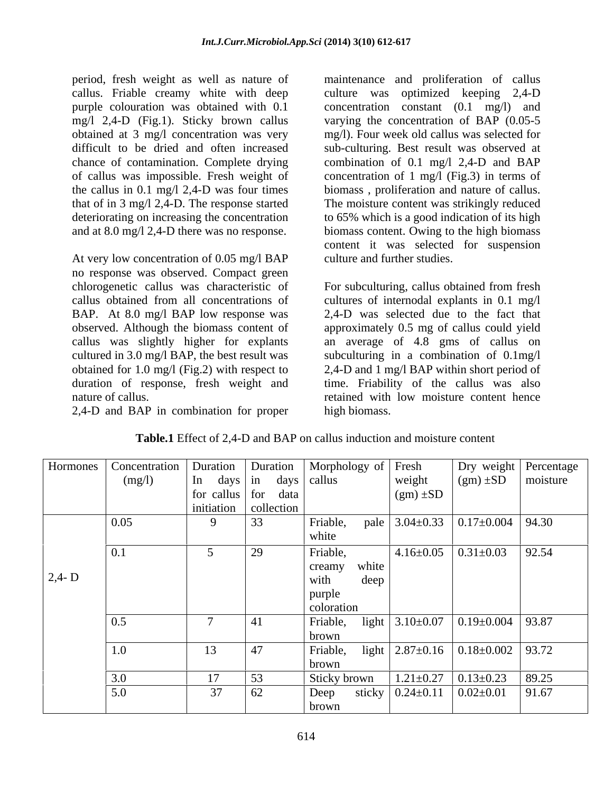callus. Friable creamy white with deep

At very low concentration of 0.05 mg/l BAP no response was observed. Compact green BAP. At 8.0 mg/l BAP low response was

2,4-D and BAP in combination for proper

period, fresh weight as well as nature of maintenance and proliferation of callus purple colouration was obtained with 0.1 concentration constant (0.1 mg/l) and mg/l 2,4-D (Fig.1). Sticky brown callus varying the concentration of BAP (0.05-5 obtained at 3 mg/l concentration was very mg/l). Four week old callus was selected for difficult to be dried and often increased sub-culturing. Best result was observed at chance of contamination. Complete drying combination of 0.1 mg/l 2,4-D and BAP of callus was impossible. Fresh weight of concentration of 1 mg/l (Fig.3) in terms of the callus in 0.1 mg/l 2,4-D was four times biomass , proliferation and nature of callus. that of in 3 mg/l 2,4-D. The response started The moisture content was strikingly reduced deteriorating on increasing the concentration to 65% which is a good indication of its high and at 8.0 mg/l 2,4-D there was no response. biomass content. Owing to the high biomass culture was optimized keeping 2,4-D content it was selected for suspension culture and further studies.

chlorogenetic callus was characteristic of For subculturing, callus obtained from fresh callus obtained from all concentrations of cultures of internodal explants in 0.1 mg/l observed. Although the biomass content of approximately 0.5 mg of callus could yield callus was slightly higher for explants an average of 4.8 gms of callus on cultured in 3.0 mg/l BAP, the best result was subculturing in a combination of 0.1mg/l obtained for 1.0 mg/l (Fig.2) with respect to 2,4-D and 1 mg/l BAP within short period of duration of response, fresh weight and time. Friability of the callus was also nature of callus. The retained with low moisture content hence 2,4-D was selected due to the fact that high biomass.

|                | Hormones   Concentration   Duration   Duration   Morphology of   Fresh |                                                                                                                                 |             |                                                       |                                                        |                                              | Dry weight Percentage |
|----------------|------------------------------------------------------------------------|---------------------------------------------------------------------------------------------------------------------------------|-------------|-------------------------------------------------------|--------------------------------------------------------|----------------------------------------------|-----------------------|
|                | (mg/l)                                                                 | $\begin{vmatrix} \text{In} \\ \text{days} \end{vmatrix}$ in days $\begin{vmatrix} \text{callus} \\ \text{callus} \end{vmatrix}$ |             |                                                       | weight                                                 | $\left( \text{gm} \right) \pm SD$   moisture |                       |
|                |                                                                        | $\vert$ for callus $\vert$ for data                                                                                             |             |                                                       | $(gm) \pm SD$                                          |                                              |                       |
|                |                                                                        | initiation collection                                                                                                           |             |                                                       |                                                        |                                              |                       |
|                | 0.05                                                                   | $\mathbf{Q}$                                                                                                                    | $\vert$ 33  | Friable, pale $3.04 \pm 0.33$ 0.17 $\pm$ 0.004 94.30  |                                                        |                                              |                       |
|                |                                                                        |                                                                                                                                 |             | white                                                 |                                                        |                                              |                       |
|                |                                                                        |                                                                                                                                 | $\sqrt{29}$ | Friable,                                              |                                                        | $4.16 \pm 0.05$ 0.31 $\pm$ 0.03              | 92.54                 |
|                |                                                                        |                                                                                                                                 |             | creamy<br>white                                       |                                                        |                                              |                       |
| $\vert$ 2,4- D |                                                                        |                                                                                                                                 |             | deep<br>with                                          |                                                        |                                              |                       |
|                |                                                                        |                                                                                                                                 |             | purple                                                |                                                        |                                              |                       |
|                |                                                                        |                                                                                                                                 |             | coloration                                            |                                                        |                                              |                       |
|                |                                                                        | $\overline{a}$                                                                                                                  | 41          | Friable, light $3.10 \pm 0.07$ 0.19 $\pm 0.004$ 93.87 |                                                        |                                              |                       |
|                |                                                                        |                                                                                                                                 |             | brown                                                 |                                                        |                                              |                       |
|                | 1.0                                                                    | 13                                                                                                                              | 47          | Friable, light 2.87±0.16 0.18±0.002 93.72             |                                                        |                                              |                       |
|                |                                                                        |                                                                                                                                 |             |                                                       |                                                        |                                              |                       |
|                |                                                                        | 17                                                                                                                              | 53          | brown                                                 |                                                        |                                              |                       |
|                |                                                                        |                                                                                                                                 |             | Sticky brown                                          |                                                        | $1.21 \pm 0.27$ 0.13 $\pm$ 0.23 89.25        |                       |
|                | 5.0                                                                    | 37                                                                                                                              | 62          | Deep                                                  | sticky $\vert 0.24 \pm 0.11 \vert 0.02 \pm 0.01 \vert$ |                                              | 91.67                 |
|                |                                                                        |                                                                                                                                 |             | brown                                                 |                                                        |                                              |                       |

**Table.1** Effect of 2,4-D and BAP on callus induction and moisture content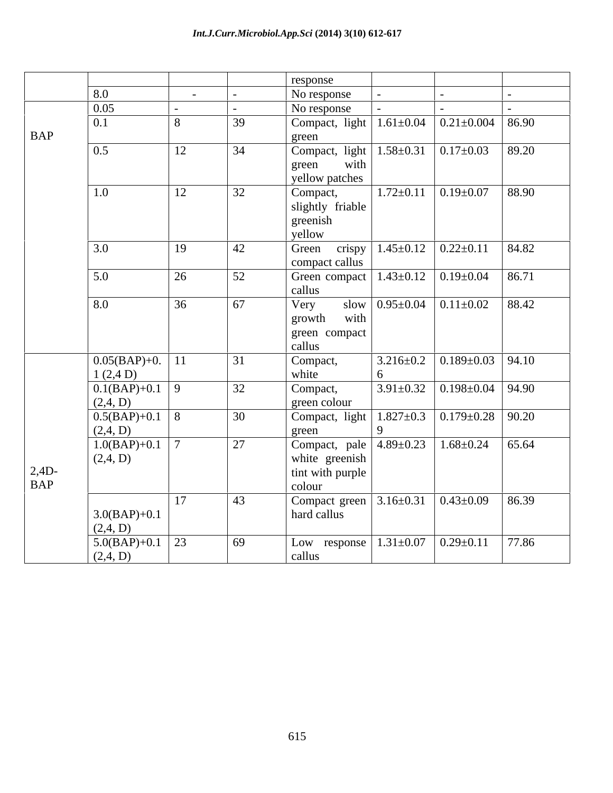|               |                    |                  |    | response                                                                          |                                 |                                        |       |
|---------------|--------------------|------------------|----|-----------------------------------------------------------------------------------|---------------------------------|----------------------------------------|-------|
|               | 8.0                | $\sim$ 10 $\sim$ |    | No response                                                                       |                                 |                                        |       |
|               | 0.05               |                  |    | No response                                                                       |                                 |                                        |       |
|               | 0.1                | 8                | 39 | $\boxed{\text{Compact, light} \mid 1.61 \pm 0.04 \mid 0.21 \pm 0.004 \mid 86.90}$ |                                 |                                        |       |
| <b>BAP</b>    |                    |                  |    |                                                                                   |                                 |                                        |       |
|               |                    |                  | 34 | green                                                                             |                                 |                                        |       |
|               | 0.5                | 12               |    | Compact, light $1.58 \pm 0.31$ $0.17 \pm 0.03$ 89.20                              |                                 |                                        |       |
|               |                    |                  |    | with<br>green                                                                     |                                 |                                        |       |
|               |                    |                  |    | yellow patches                                                                    |                                 |                                        |       |
|               | 1.0                | 12               | 32 | Compact,                                                                          | $1.72 \pm 0.11$ 0.19 $\pm$ 0.07 |                                        | 88.90 |
|               |                    |                  |    | slightly friable                                                                  |                                 |                                        |       |
|               |                    |                  |    | greenish                                                                          |                                 |                                        |       |
|               |                    |                  |    | yellow                                                                            |                                 |                                        |       |
|               | 3.0                | 19               | 42 | Green crispy                                                                      |                                 | $1.45\pm0.12$ $0.22\pm0.11$ 84.82      |       |
|               |                    |                  |    | compact callus                                                                    |                                 |                                        |       |
|               | 5.0                | 26               | 52 | Green compact 1.43±0.12 0.19±0.04                                                 |                                 |                                        | 86.71 |
|               |                    |                  |    | callus                                                                            |                                 |                                        |       |
|               | 8.0                | 36               | 67 | Very                                                                              |                                 | slow $0.95\pm0.04$ $0.11\pm0.02$ 88.42 |       |
|               |                    |                  |    | with<br>growth                                                                    |                                 |                                        |       |
|               |                    |                  |    | green compact                                                                     |                                 |                                        |       |
|               |                    |                  |    | callus                                                                            |                                 |                                        |       |
|               | $0.05(BAP)+0.$ 11  |                  | 31 | Compact,                                                                          |                                 | $3.216 \pm 0.2$ 0.189 $\pm$ 0.03 94.10 |       |
|               | 1(2,4D)            |                  |    | white                                                                             | 6 <sup>6</sup>                  |                                        |       |
|               | $0.1(BAP)+0.1$ 9   |                  | 32 | Compact,                                                                          |                                 | $3.91 \pm 0.32$ 0.198 $\pm$ 0.04 94.90 |       |
|               | (2,4, D)           |                  |    | green colour                                                                      |                                 |                                        |       |
|               | $0.5(BAP)+0.1$ 8   |                  | 30 | Compact, light   $1.827 \pm 0.3$   $0.179 \pm 0.28$   $90.20$                     |                                 |                                        |       |
|               | (2,4, D)           |                  |    | green                                                                             | $\mathbf{Q}$                    |                                        |       |
|               | $1.0(BAP)+0.1$   7 |                  | 27 | Compact, pale 4.89±0.23 1.68±0.24                                                 |                                 |                                        | 65.64 |
|               | (2,4, D)           |                  |    | white greenish                                                                    |                                 |                                        |       |
| $\vert$ 2,4D- |                    |                  |    | tint with purple                                                                  |                                 |                                        |       |
| <b>BAP</b>    |                    |                  |    | colour                                                                            |                                 |                                        |       |
|               |                    | 17               | 43 | Compact green                                                                     |                                 | $3.16 \pm 0.31$ $0.43 \pm 0.09$ 86.39  |       |
|               | $3.0(BAP)+0.1$     |                  |    | hard callus                                                                       |                                 |                                        |       |
|               | (2,4, D)           |                  |    |                                                                                   |                                 |                                        |       |
|               | $5.0(BAP)+0.1$ 23  |                  | 69 | Low response   $1.31 \pm 0.07$   $0.29 \pm 0.11$   77.86                          |                                 |                                        |       |
|               | (2,4, D)           |                  |    | callus                                                                            |                                 |                                        |       |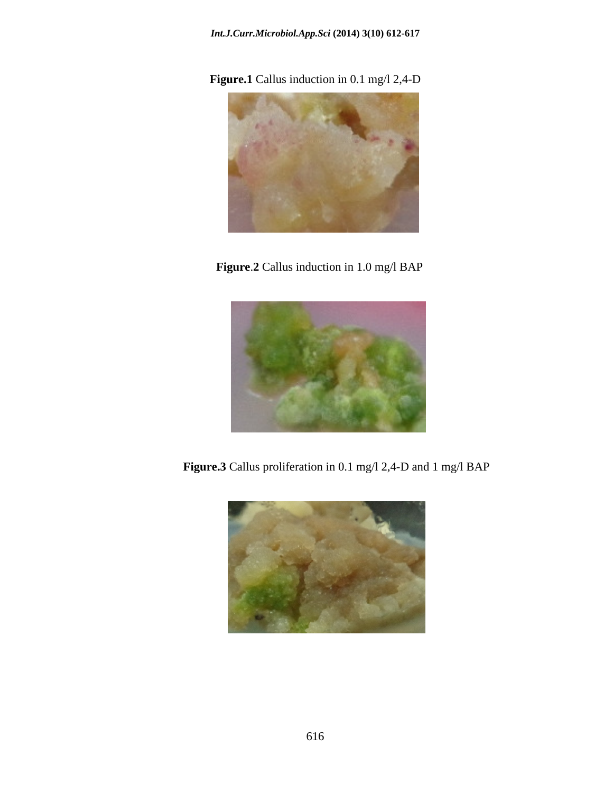**Figure.1** Callus induction in 0.1 mg/l 2,4-D



**Figure**.**2** Callus induction in 1.0 mg/l BAP



**Figure.3** Callus proliferation in 0.1 mg/l 2,4-D and 1 mg/l BAP